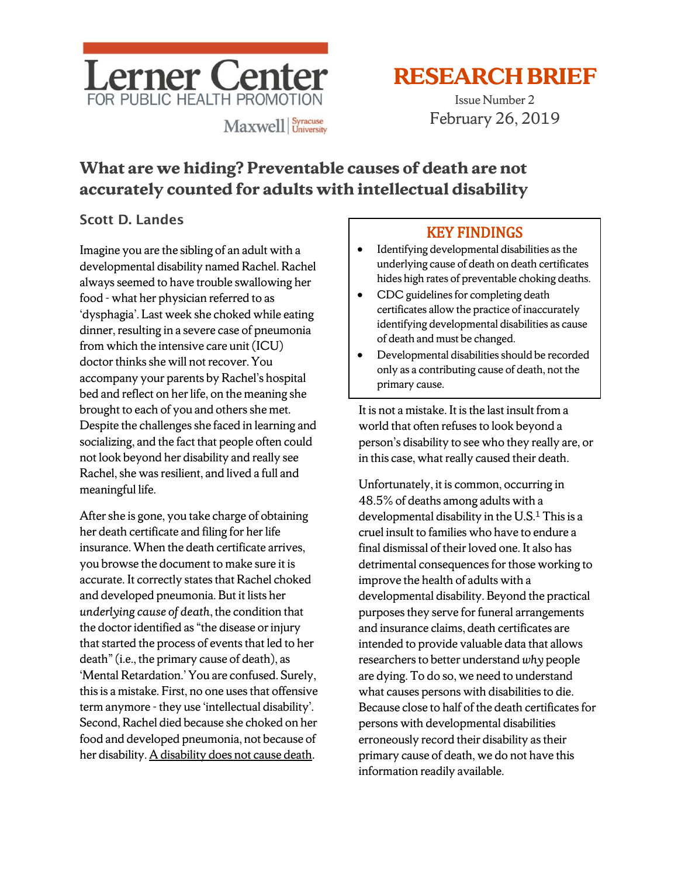

# **RESEARCH BRIEF**

Issue Number 2 February 26, 2019

## **What are we hiding? Preventable causes of death are not accurately counted for adults with intellectual disability**

## Scott D. Landes

Imagine you are the sibling of an adult with a developmental disability named Rachel. Rachel always seemed to have trouble swallowing her food - what her physician referred to as 'dysphagia'. Last week she choked while eating dinner, resulting in a severe case of pneumonia from which the intensive care unit (ICU) doctor thinks she will not recover. You accompany your parents by Rachel's hospital bed and reflect on her life, on the meaning she brought to each of you and others she met. Despite the challenges she faced in learning and socializing, and the fact that people often could not look beyond her disability and really see Rachel, she was resilient, and lived a full and meaningful life.

After she is gone, you take charge of obtaining her death certificate and filing for her life insurance. When the death certificate arrives, you browse the document to make sure it is accurate. It correctly states that Rachel choked and developed pneumonia. But it lists her *underlying cause of death*, the condition that the doctor identified as "the disease or injury that started the process of events that led to her death"(i.e., the primary cause of death), as 'Mental Retardation.' You are confused. Surely, this is a mistake. First, no one uses that offensive term anymore - they use 'intellectual disability'. Second, Rachel died because she choked on her food and developed pneumonia, not because of her disability. A disability does not cause death.

## KEY FINDINGS

- Identifying developmental disabilities as the underlying cause of death on death certificates hides high rates of preventable choking deaths.
- CDC guidelines for completing death certificates allow the practice of inaccurately identifying developmental disabilities as cause of death and must be changed.
- Developmental disabilities should be recorded only as a contributing cause of death, not the primary cause.

It is not a mistake. It is the last insult from a world that often refuses to look beyond a person's disability to see who they really are, or in this case, what really caused their death.

Unfortunately, it is common, occurring in 48.5% of deaths among adults with a developmental disability in the  $U.S.<sup>1</sup>$  This is a cruel insult to families who have to endure a final dismissal of their loved one. It also has detrimental consequences for those working to improve the health of adults with a developmental disability. Beyond the practical purposes they serve for funeral arrangements and insurance claims, death certificates are intended to provide valuable data that allows researchers to better understand why people are dying. To do so, we need to understand what causes persons with disabilities to die. Because close to half of the death certificates for persons with developmental disabilities erroneously record their disability as their primary cause of death, we do not have this information readily available.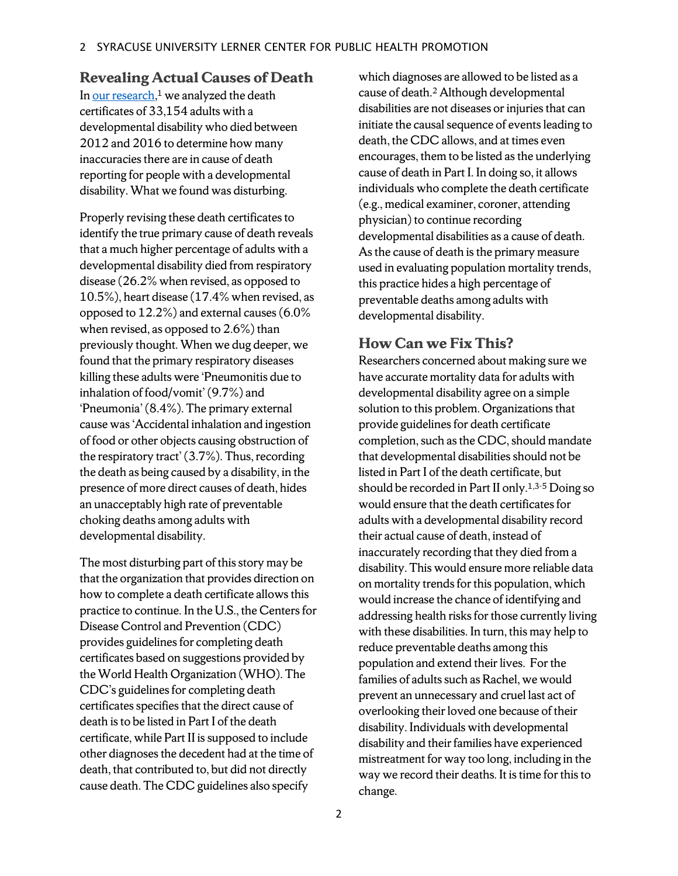#### **Revealing Actual Causes of Death**

I[n our research,](https://bmjopen.bmj.com/content/9/2/e026614.)<sup>1</sup> we analyzed the death certificates of 33,154 adults with a developmental disability who died between 2012 and 2016 to determine how many inaccuracies there are in cause of death reporting for people with a developmental disability. What we found was disturbing.

Properly revising these death certificates to identify the true primary cause of death reveals that a much higher percentage of adults with a developmental disability died from respiratory disease (26.2% when revised, as opposed to 10.5%), heart disease (17.4% when revised, as opposed to 12.2%) and external causes (6.0% when revised, as opposed to 2.6%) than previously thought. When we dug deeper, we found that the primary respiratory diseases killing these adults were 'Pneumonitis due to inhalation of food/vomit' (9.7%) and 'Pneumonia'(8.4%). The primary external cause was 'Accidental inhalation and ingestion of food or other objects causing obstruction of the respiratory tract' (3.7%). Thus, recording the death as being caused by a disability, in the presence of more direct causes of death, hides an unacceptably high rate of preventable choking deaths among adults with developmental disability.

The most disturbing part of this story may be that the organization that provides direction on how to complete a death certificate allows this practice to continue. In the U.S., the Centers for Disease Control and Prevention (CDC) provides guidelines for completing death certificates based on suggestions provided by the World Health Organization (WHO). The CDC's guidelines for completing death certificates specifies that the direct cause of death isto be listed in Part I of the death certificate, while Part II is supposed to include other diagnoses the decedent had at the time of death, that contributed to, but did not directly cause death. The CDC guidelines also specify

which diagnoses are allowed to be listed as a cause of death. <sup>2</sup> Although developmental disabilities are not diseases or injuries that can initiate the causal sequence of events leading to death, the CDC allows, and at times even encourages, them to be listed as the underlying cause of death in Part I. In doing so, it allows individuals who complete the death certificate (e.g., medical examiner, coroner, attending physician) to continue recording developmental disabilities as a cause of death. As the cause of death is the primary measure used in evaluating population mortality trends, this practice hides a high percentage of preventable deaths among adults with developmental disability.

### **How Can we Fix This?**

Researchers concerned about making sure we have accurate mortality data for adults with developmental disability agree on a simple solution to this problem. Organizations that provide guidelines for death certificate completion, such as the CDC, should mandate that developmental disabilities should not be listed in Part I of the death certificate, but should be recorded in Part II only.<sup>1,3-5</sup> Doing so would ensure that the death certificates for adults with a developmental disability record their actual cause of death, instead of inaccurately recording that they died from a disability. This would ensure more reliable data on mortality trends for this population, which would increase the chance of identifying and addressing health risks for those currently living with these disabilities. In turn, this may help to reduce preventable deaths among this population and extend their lives. For the families of adults such as Rachel, we would prevent an unnecessary and cruel last act of overlooking their loved one because of their disability. Individuals with developmental disability and their families have experienced mistreatment for way too long, including in the way we record their deaths. It is time for this to change.